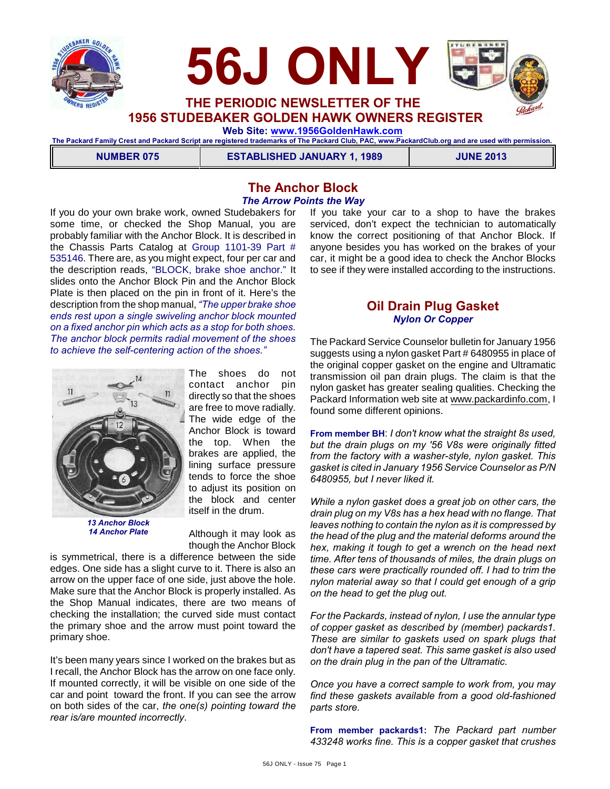



**1956 STUDEBAKER GOLDEN HAWK OWNERS REGISTER**

 **Web Site: [www.1956GoldenHawk.com](http://www.1956GoldenHawk.com)**

**The Packard Family Crest and Packard Script are registered trademarks of The Packard Club, PAC, www.PackardClub.org and are used with permission.** 

**NUMBER 075 ESTABLISHED JANUARY 1, 1989 JUNE 2013**

### **The Anchor Block** *The Arrow Points the Way*

If you do your own brake work, owned Studebakers for some time, or checked the Shop Manual, you are probably familiar with the Anchor Block. It is described in the Chassis Parts Catalog at Group 1101-39 Part # 535146. There are, as you might expect, four per car and the description reads, "BLOCK, brake shoe anchor." It slides onto the Anchor Block Pin and the Anchor Block Plate is then placed on the pin in front of it. Here's the description from the shop manual, *"The upper brake shoe ends rest upon a single swiveling anchor block mounted on a fixed anchor pin which acts as a stop for both shoes. The anchor block permits radial movement of the shoes to achieve the self-centering action of the shoes."*



*13 Anchor Block 14 Anchor Plate*

The shoes do not contact anchor pin directly so that the shoes are free to move radially. The wide edge of the Anchor Block is toward the top. When the brakes are applied, the lining surface pressure tends to force the shoe to adjust its position on the block and center itself in the drum.

Although it may look as though the Anchor Block

is symmetrical, there is a difference between the side edges. One side has a slight curve to it. There is also an arrow on the upper face of one side, just above the hole. Make sure that the Anchor Block is properly installed. As the Shop Manual indicates, there are two means of checking the installation; the curved side must contact the primary shoe and the arrow must point toward the primary shoe.

It's been many years since I worked on the brakes but as I recall, the Anchor Block has the arrow on one face only. If mounted correctly, it will be visible on one side of the car and point toward the front. If you can see the arrow on both sides of the car, *the one(s) pointing toward the rear is/are mounted incorrectly*.

If you take your car to a shop to have the brakes serviced, don't expect the technician to automatically know the correct positioning of that Anchor Block. If anyone besides you has worked on the brakes of your car, it might be a good idea to check the Anchor Blocks to see if they were installed according to the instructions.

## **Oil Drain Plug Gasket** *Nylon Or Copper*

The Packard Service Counselor bulletin for January 1956 suggests using a nylon gasket Part # 6480955 in place of the original copper gasket on the engine and Ultramatic transmission oil pan drain plugs. The claim is that the nylon gasket has greater sealing qualities. Checking the Packard Information web site at [www.packardinfo.com,](http://www.packardinfo.com,) I found some different opinions.

**From member BH**: *I don't know what the straight 8s used, but the drain plugs on my '56 V8s were originally fitted from the factory with a washer-style, nylon gasket. This gasket is cited in January 1956 Service Counselor as P/N 6480955, but I never liked it.*

*While a nylon gasket does a great job on other cars, the drain plug on my V8s has a hex head with no flange. That leaves nothing to contain the nylon as it is compressed by the head of the plug and the material deforms around the hex, making it tough to get a wrench on the head next time. After tens of thousands of miles, the drain plugs on these cars were practically rounded off. I had to trim the nylon material away so that I could get enough of a grip on the head to get the plug out.*

*For the Packards, instead of nylon, I use the annular type of copper gasket as described by (member) packards1. These are similar to gaskets used on spark plugs that don't have a tapered seat. This same gasket is also used on the drain plug in the pan of the Ultramatic.*

*Once you have a correct sample to work from, you may find these gaskets available from a good old-fashioned parts store.*

**From member packards1:** *The Packard part number 433248 works fine. This is a copper gasket that crushes*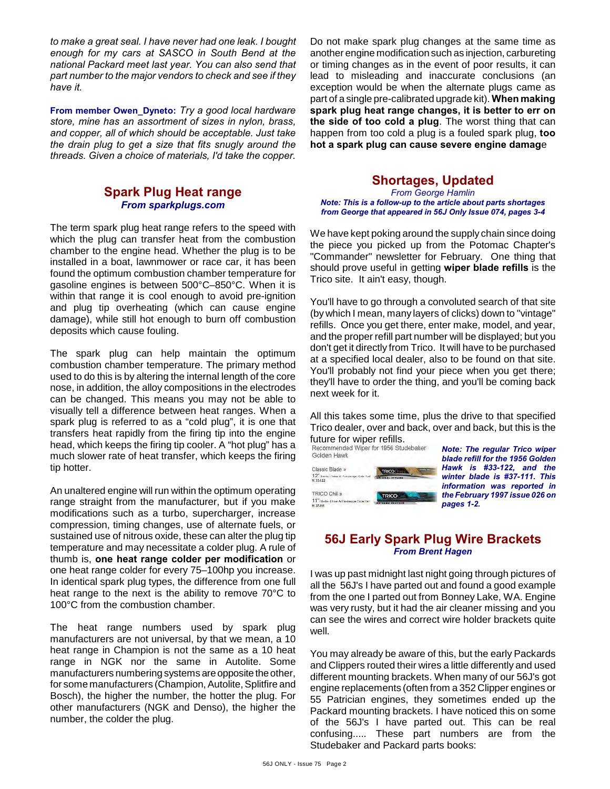*to make a great seal. I have never had one leak. I bought enough for my cars at SASCO in South Bend at the national Packard meet last year. You can also send that part number to the major vendors to check and see if they have it.*

**From member Owen\_Dyneto:** *Try a good local hardware store, mine has an assortment of sizes in nylon, brass, and copper, all of which should be acceptable. Just take the drain plug to get a size that fits snugly around the threads. Given a choice of materials, I'd take the copper.*

## **Spark Plug Heat range** *From sparkplugs.com*

The term spark plug heat range refers to the speed with which the plug can transfer heat from the combustion chamber to the engine head. Whether the plug is to be installed in a boat, lawnmower or race car, it has been found the optimum combustion chamber temperature for gasoline engines is between 500°C–850°C. When it is within that range it is cool enough to avoid pre-ignition and plug tip overheating (which can cause engine damage), while still hot enough to burn off combustion deposits which cause fouling.

The spark plug can help maintain the optimum combustion chamber temperature. The primary method used to do this is by altering the internal length of the core nose, in addition, the alloy compositions in the electrodes can be changed. This means you may not be able to visually tell a difference between heat ranges. When a spark plug is referred to as a "cold plug", it is one that transfers heat rapidly from the firing tip into the engine head, which keeps the firing tip cooler. A "hot plug" has a much slower rate of heat transfer, which keeps the firing tip hotter.

An unaltered engine will run within the optimum operating range straight from the manufacturer, but if you make modifications such as a turbo, supercharger, increase compression, timing changes, use of alternate fuels, or sustained use of nitrous oxide, these can alter the plug tip temperature and may necessitate a colder plug. A rule of thumb is, **one heat range colder per modification** or one heat range colder for every 75–100hp you increase. In identical spark plug types, the difference from one full heat range to the next is the ability to remove 70°C to 100°C from the combustion chamber.

The heat range numbers used by spark plug manufacturers are not universal, by that we mean, a 10 heat range in Champion is not the same as a 10 heat range in NGK nor the same in Autolite. Some manufacturers numbering systems are opposite the other, for some manufacturers (Champion, Autolite, Splitfire and Bosch), the higher the number, the hotter the plug. For other manufacturers (NGK and Denso), the higher the number, the colder the plug.

Do not make spark plug changes at the same time as another engine modification such as injection, carbureting or timing changes as in the event of poor results, it can lead to misleading and inaccurate conclusions (an exception would be when the alternate plugs came as part of a single pre-calibrated upgrade kit). **When making spark plug heat range changes, it is better to err on the side of too cold a plug**. The worst thing that can happen from too cold a plug is a fouled spark plug, **too hot a spark plug can cause severe engine damag**e

## **Shortages, Updated**

*From George Hamlin Note: This is a follow-up to the article about parts shortages from George that appeared in 56J Only Issue 074, pages 3-4*

We have kept poking around the supply chain since doing the piece you picked up from the Potomac Chapter's "Commander" newsletter for February. One thing that should prove useful in getting **wiper blade refills** is the Trico site. It ain't easy, though.

You'll have to go through a convoluted search of that site (by which I mean, many layers of clicks) down to "vintage" refills. Once you get there, enter make, model, and year, and the proper refill part number will be displayed; but you don't get it directly from Trico. It will have to be purchased at a specified local dealer, also to be found on that site. You'll probably not find your piece when you get there; they'll have to order the thing, and you'll be coming back next week for it.

All this takes some time, plus the drive to that specified Trico dealer, over and back, over and back, but this is the future for wiper refills.

| Recommended Wiper for 1956 Studebaker<br>Golden Hawk                   |                 |
|------------------------------------------------------------------------|-----------------|
| Classic Blade<br>12" Davis - Jave & Passenmer Sate Part<br>$*33-122$   | <b>TRICO</b>    |
| TRICO Chill »<br>11" Bladie-Hiser AT Sexember Subdition<br>$$7.37-111$ | <b>TRICO IN</b> |

*Note: The regular Trico wiper blade refill for the 1956 Golden Hawk is #33-122, and the winter blade is #37-111. This information was reported in the February 1997 issue 026 on pages 1-2.*

## **56J Early Spark Plug Wire Brackets** *From Brent Hagen*

I was up past midnight last night going through pictures of all the 56J's I have parted out and found a good example from the one I parted out from Bonney Lake, WA. Engine was very rusty, but it had the air cleaner missing and you can see the wires and correct wire holder brackets quite well.

You may already be aware of this, but the early Packards and Clippers routed their wires a little differently and used different mounting brackets. When many of our 56J's got engine replacements (often from a 352 Clipper engines or 55 Patrician engines, they sometimes ended up the Packard mounting brackets. I have noticed this on some of the 56J's I have parted out. This can be real confusing..... These part numbers are from the Studebaker and Packard parts books: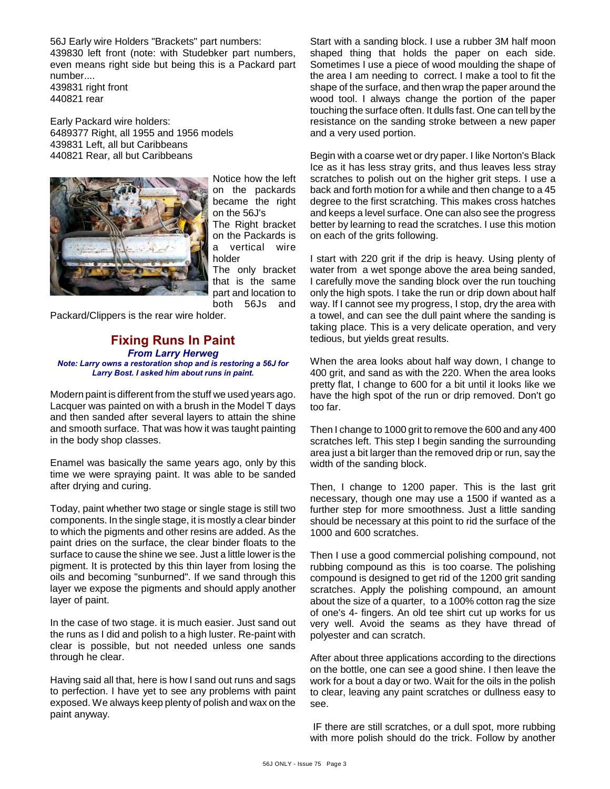56J Early wire Holders "Brackets" part numbers: 439830 left front (note: with Studebker part numbers, even means right side but being this is a Packard part number.... 439831 right front

440821 rear

Early Packard wire holders: 6489377 Right, all 1955 and 1956 models 439831 Left, all but Caribbeans 440821 Rear, all but Caribbeans



Notice how the left on the packards became the right on the 56J's The Right bracket on the Packards is a vertical wire holder The only bracket that is the same part and location to both 56Js and

Packard/Clippers is the rear wire holder.

#### **Fixing Runs In Paint** *From Larry Herweg Note: Larry owns a restoration shop and is restoring a 56J for Larry Bost. I asked him about runs in paint.*

Modern paint is different from the stuff we used years ago. Lacquer was painted on with a brush in the Model T days and then sanded after several layers to attain the shine and smooth surface. That was how it was taught painting in the body shop classes.

Enamel was basically the same years ago, only by this time we were spraying paint. It was able to be sanded after drying and curing.

Today, paint whether two stage or single stage is still two components. In the single stage, it is mostly a clear binder to which the pigments and other resins are added. As the paint dries on the surface, the clear binder floats to the surface to cause the shine we see. Just a little lower is the pigment. It is protected by this thin layer from losing the oils and becoming "sunburned". If we sand through this layer we expose the pigments and should apply another layer of paint.

In the case of two stage. it is much easier. Just sand out the runs as I did and polish to a high luster. Re-paint with clear is possible, but not needed unless one sands through he clear.

Having said all that, here is how I sand out runs and sags to perfection. I have yet to see any problems with paint exposed. We always keep plenty of polish and wax on the paint anyway.

Start with a sanding block. I use a rubber 3M half moon shaped thing that holds the paper on each side. Sometimes I use a piece of wood moulding the shape of the area I am needing to correct. I make a tool to fit the shape of the surface, and then wrap the paper around the wood tool. I always change the portion of the paper touching the surface often. It dulls fast. One can tell by the resistance on the sanding stroke between a new paper and a very used portion.

Begin with a coarse wet or dry paper. I like Norton's Black Ice as it has less stray grits, and thus leaves less stray scratches to polish out on the higher grit steps. I use a back and forth motion for a while and then change to a 45 degree to the first scratching. This makes cross hatches and keeps a level surface. One can also see the progress better by learning to read the scratches. I use this motion on each of the grits following.

I start with 220 grit if the drip is heavy. Using plenty of water from a wet sponge above the area being sanded, I carefully move the sanding block over the run touching only the high spots. I take the run or drip down about half way. If I cannot see my progress, I stop, dry the area with a towel, and can see the dull paint where the sanding is taking place. This is a very delicate operation, and very tedious, but yields great results.

When the area looks about half way down, I change to 400 grit, and sand as with the 220. When the area looks pretty flat, I change to 600 for a bit until it looks like we have the high spot of the run or drip removed. Don't go too far.

Then I change to 1000 grit to remove the 600 and any 400 scratches left. This step I begin sanding the surrounding area just a bit larger than the removed drip or run, say the width of the sanding block.

Then, I change to 1200 paper. This is the last grit necessary, though one may use a 1500 if wanted as a further step for more smoothness. Just a little sanding should be necessary at this point to rid the surface of the 1000 and 600 scratches.

Then I use a good commercial polishing compound, not rubbing compound as this is too coarse. The polishing compound is designed to get rid of the 1200 grit sanding scratches. Apply the polishing compound, an amount about the size of a quarter, to a 100% cotton rag the size of one's 4- fingers. An old tee shirt cut up works for us very well. Avoid the seams as they have thread of polyester and can scratch.

After about three applications according to the directions on the bottle, one can see a good shine. I then leave the work for a bout a day or two. Wait for the oils in the polish to clear, leaving any paint scratches or dullness easy to see.

 IF there are still scratches, or a dull spot, more rubbing with more polish should do the trick. Follow by another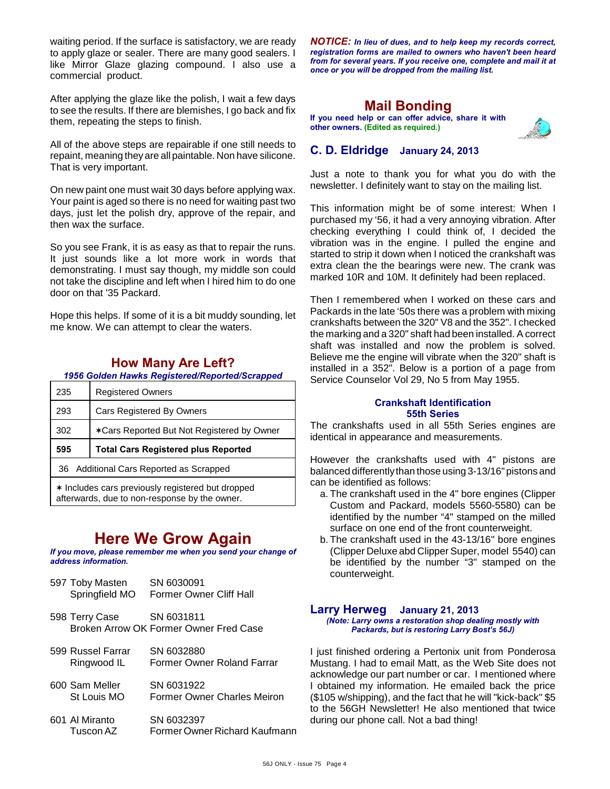waiting period. If the surface is satisfactory, we are ready to apply glaze or sealer. There are many good sealers. I like Mirror Glaze glazing compound. I also use a commercial product.

After applying the glaze like the polish, I wait a few days to see the results. If there are blemishes, I go back and fix them, repeating the steps to finish.

All of the above steps are repairable if one still needs to repaint, meaning they are all paintable. Non have silicone. That is very important.

On new paint one must wait 30 days before applying wax. Your paint is aged so there is no need for waiting past two days, just let the polish dry, approve of the repair, and then wax the surface.

So you see Frank, it is as easy as that to repair the runs. It just sounds like a lot more work in words that demonstrating. I must say though, my middle son could not take the discipline and left when I hired him to do one door on that '35 Packard.

Hope this helps. If some of it is a bit muddy sounding, let me know. We can attempt to clear the waters.

### **How Many Are Left?**

*1956 Golden Hawks Registered/Reported/Scrapped*

| 235 | <b>Registered Owners</b>                   |
|-----|--------------------------------------------|
| 293 | <b>Cars Registered By Owners</b>           |
| 302 | *Cars Reported But Not Registered by Owner |
|     |                                            |
| 595 | <b>Total Cars Registered plus Reported</b> |
|     | 36 Additional Cars Reported as Scrapped    |

afterwards, due to non-response by the owner.

# **Here We Grow Again**

*If you move, please remember me when you send your change of address information.*

| 597 Toby Masten<br>Springfield MO | SN 6030091<br>Former Owner Cliff Hall                |
|-----------------------------------|------------------------------------------------------|
| 598 Terry Case                    | SN 6031811<br>Broken Arrow OK Former Owner Fred Case |
| 599 Russel Farrar<br>Ringwood IL  | SN 6032880<br>Former Owner Roland Farrar             |
| 600 Sam Meller<br>St Louis MO     | SN 6031922<br>Former Owner Charles Meiron            |

601 Al Miranto SN 6032397 Tuscon AZ Former Owner Richard Kaufmann

*NOTICE: In lieu of dues, and to help keep my records correct, registration forms are mailed to owners who haven't been heard from for several years. If you receive one, complete and mail it at once or you will be dropped from the mailing list.*

## **Mail Bonding**

**If you need help or can offer advice, share it with other owners. (Edited as required.)**



### **C. D. Eldridge January 24, 2013**

Just a note to thank you for what you do with the newsletter. I definitely want to stay on the mailing list.

This information might be of some interest: When I purchased my '56, it had a very annoying vibration. After checking everything I could think of, I decided the vibration was in the engine. I pulled the engine and started to strip it down when I noticed the crankshaft was extra clean the the bearings were new. The crank was marked 10R and 10M. It definitely had been replaced.

Then I remembered when I worked on these cars and Packards in the late '50s there was a problem with mixing crankshafts between the 320" V8 and the 352". I checked the marking and a 320" shaft had been installed. A correct shaft was installed and now the problem is solved. Believe me the engine will vibrate when the 320" shaft is installed in a 352". Below is a portion of a page from Service Counselor Vol 29, No 5 from May 1955.

#### **Crankshaft Identification 55th Series**

The crankshafts used in all 55th Series engines are identical in appearance and measurements.

However the crankshafts used with 4" pistons are balanced differently than those using 3-13/16" pistons and can be identified as follows:

- a. The crankshaft used in the 4" bore engines (Clipper Custom and Packard, models 5560-5580) can be identified by the number "4" stamped on the milled surface on one end of the front counterweight.
- b. The crankshaft used in the 43-13/16" bore engines (Clipper Deluxe abd Clipper Super, model 5540) can be identified by the number "3" stamped on the counterweight.

#### **Larry Herweg January 21, 2013**

*(Note: Larry owns a restoration shop dealing mostly with Packards, but is restoring Larry Bost's 56J)*

I just finished ordering a Pertonix unit from Ponderosa Mustang. I had to email Matt, as the Web Site does not acknowledge our part number or car. I mentioned where I obtained my information. He emailed back the price (\$105 w/shipping), and the fact that he will "kick-back" \$5 to the 56GH Newsletter! He also mentioned that twice during our phone call. Not a bad thing!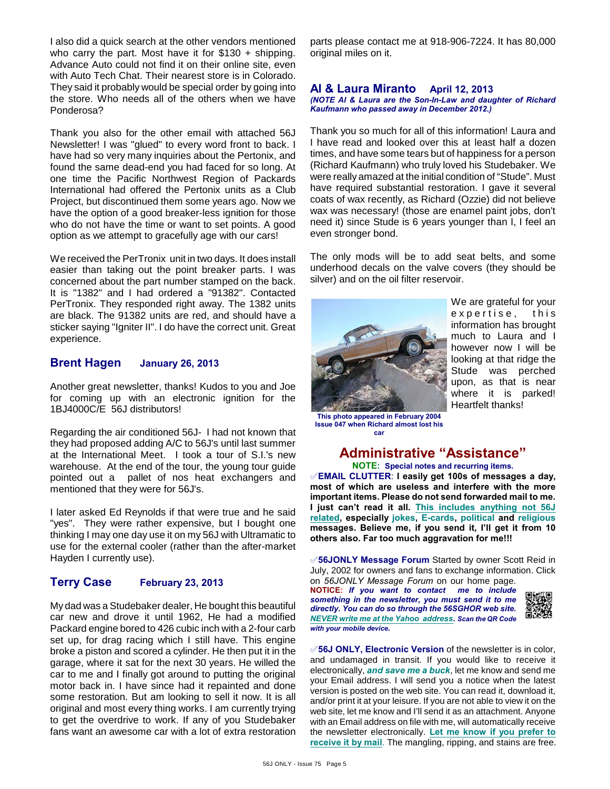I also did a quick search at the other vendors mentioned who carry the part. Most have it for \$130 + shipping. Advance Auto could not find it on their online site, even with Auto Tech Chat. Their nearest store is in Colorado. They said it probably would be special order by going into the store. Who needs all of the others when we have Ponderosa?

Thank you also for the other email with attached 56J Newsletter! I was "glued" to every word front to back. I have had so very many inquiries about the Pertonix, and found the same dead-end you had faced for so long. At one time the Pacific Northwest Region of Packards International had offered the Pertonix units as a Club Project, but discontinued them some years ago. Now we have the option of a good breaker-less ignition for those who do not have the time or want to set points. A good option as we attempt to gracefully age with our cars!

We received the PerTronix unit in two days. It does install easier than taking out the point breaker parts. I was concerned about the part number stamped on the back. It is "1382" and I had ordered a "91382". Contacted PerTronix. They responded right away. The 1382 units are black. The 91382 units are red, and should have a sticker saying "Igniter II". I do have the correct unit. Great experience.

### **Brent Hagen January 26, 2013**

Another great newsletter, thanks! Kudos to you and Joe for coming up with an electronic ignition for the 1BJ4000C/E 56J distributors!

Regarding the air conditioned 56J- I had not known that they had proposed adding A/C to 56J's until last summer at the International Meet. I took a tour of S.I.'s new warehouse. At the end of the tour, the young tour guide pointed out a pallet of nos heat exchangers and mentioned that they were for 56J's.

I later asked Ed Reynolds if that were true and he said "yes". They were rather expensive, but I bought one thinking I may one day use it on my 56J with Ultramatic to use for the external cooler (rather than the after-market Hayden I currently use).

## **Terry Case February 23, 2013**

My dad was a Studebaker dealer, He bought this beautiful car new and drove it until 1962, He had a modified Packard engine bored to 426 cubic inch with a 2-four carb set up, for drag racing which I still have. This engine broke a piston and scored a cylinder. He then put it in the garage, where it sat for the next 30 years. He willed the car to me and I finally got around to putting the original motor back in. I have since had it repainted and done some restoration. But am looking to sell it now. It is all original and most every thing works. I am currently trying to get the overdrive to work. If any of you Studebaker fans want an awesome car with a lot of extra restoration

parts please contact me at 918-906-7224. It has 80,000 original miles on it.

#### **Al & Laura Miranto April 12, 2013** *(NOTE Al & Laura are the Son-In-Law and daughter of Richard Kaufmann who passed away in December 2012.)*

Thank you so much for all of this information! Laura and I have read and looked over this at least half a dozen times, and have some tears but of happiness for a person (Richard Kaufmann) who truly loved his Studebaker. We were really amazed at the initial condition of "Stude". Must have required substantial restoration. I gave it several coats of wax recently, as Richard (Ozzie) did not believe wax was necessary! (those are enamel paint jobs, don't need it) since Stude is 6 years younger than I, I feel an even stronger bond.

The only mods will be to add seat belts, and some underhood decals on the valve covers (they should be silver) and on the oil filter reservoir.



We are grateful for your expertise, this information has brought much to Laura and I however now I will be looking at that ridge the Stude was perched upon, as that is near where it is parked! Heartfelt thanks!

**This photo appeared in February 2004 Issue 047 when Richard almost lost his car**

## **Administrative "Assistance"**

**NOTE: Special notes and recurring items.** °**EMAIL CLUTTER**: **I easily get 100s of messages a day, most of which are useless and interfere with the more important items. Please do not send forwarded mail to me. I just can't read it all. This includes anything not 56J related, especially jokes, E-cards, political and religious messages. Believe me, if you send it, I'll get it from 10 others also. Far too much aggravation for me!!!**

°**56JONLY Message Forum** Started by owner Scott Reid in July, 2002 for owners and fans to exchange information. Click on *56JONLY Message Forum* on our home page.

**NOTICE:** *If you want to contact me to include something in the newsletter, you must send it to me directly. You can do so through the 56SGHOR web site. NEVER write me at the Yahoo address. Scan the QR Code with your mobile device.* 



°**56J ONLY, Electronic Version** of the newsletter is in color, and undamaged in transit. If you would like to receive it electronically, *and save me a buck*, let me know and send me your Email address. I will send you a notice when the latest version is posted on the web site. You can read it, download it, and/or print it at your leisure. If you are not able to view it on the web site, let me know and I'll send it as an attachment. Anyone with an Email address on file with me, will automatically receive the newsletter electronically. **Let me know if you prefer to receive it by mail**. The mangling, ripping, and stains are free.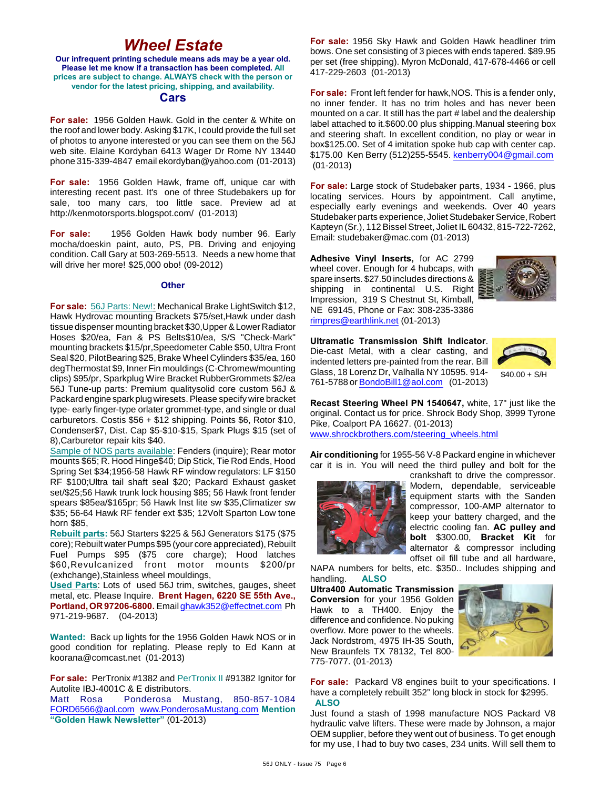# *Wheel Estate*

**Our infrequent printing schedule means ads may be a year old. Please let me know if a transaction has been completed. All prices are subject to change. ALWAYS check with the person or vendor for the latest pricing, shipping, and availability.**

#### **Cars**

**For sale:** 1956 Golden Hawk. Gold in the center & White on the roof and lower body. Asking \$17K, I could provide the full set of photos to anyone interested or you can see them on the 56J web site. Elaine Kordyban 6413 Wager Dr Rome NY 13440 phone 315-339-4847 email ekordyban@yahoo.com (01-2013)

**For sale:** 1956 Golden Hawk, frame off, unique car with interesting recent past. It's one of three Studebakers up for sale, too many cars, too little sace. Preview ad at http://kenmotorsports.blogspot.com/ (01-2013)

**For sale:** 1956 Golden Hawk body number 96. Early mocha/doeskin paint, auto, PS, PB. Driving and enjoying condition. Call Gary at 503-269-5513. Needs a new home that will drive her more! \$25,000 obo! (09-2012)

#### **Other**

**For sale:** 56J Parts: New!: Mechanical Brake LightSwitch \$12, Hawk Hydrovac mounting Brackets \$75/set,Hawk under dash tissue dispenser mounting bracket \$30,Upper & Lower Radiator Hoses \$20/ea, Fan & PS Belts\$10/ea, S/S "Check-Mark" mounting brackets \$15/pr,Speedometer Cable \$50, Ultra Front Seal \$20, PilotBearing \$25, Brake Wheel Cylinders \$35/ea, 160 degThermostat \$9, Inner Fin mouldings (C-Chromew/mounting clips) \$95/pr, Sparkplug Wire Bracket RubberGrommets \$2/ea 56J Tune-up parts: Premium qualitysolid core custom 56J & Packard engine spark plug wiresets. Please specify wire bracket type- early finger-type orlater grommet-type, and single or dual carburetors. Costis \$56 + \$12 shipping. Points \$6, Rotor \$10, Condenser\$7, Dist. Cap \$5-\$10-\$15, Spark Plugs \$15 (set of 8),Carburetor repair kits \$40.

Sample of NOS parts available: Fenders (inquire); Rear motor mounts \$65; R. Hood Hinge\$40; Dip Stick, Tie Rod Ends, Hood Spring Set \$34;1956-58 Hawk RF window regulators: LF \$150 RF \$100;Ultra tail shaft seal \$20; Packard Exhaust gasket set/\$25;56 Hawk trunk lock housing \$85; 56 Hawk front fender spears \$85ea/\$165pr; 56 Hawk Inst lite sw \$35,Climatizer sw \$35; 56-64 Hawk RF fender ext \$35; 12Volt Sparton Low tone horn \$85,

**Rebuilt parts:** 56J Starters \$225 & 56J Generators \$175 (\$75 core); Rebuilt water Pumps \$95 (your core appreciated), Rebuilt Fuel Pumps \$95 (\$75 core charge); Hood latches \$60,Revulcanized front motor mounts \$200/pr (exhchange),Stainless wheel mouldings,

**Used Parts**: Lots of used 56J trim, switches, gauges, sheet metal, etc. Please Inquire. **Brent Hagen, 6220 SE 55th Ave., Portland, OR 97206-6800.** Email [ghawk352@effectnet.com](mailto:ghawk352@effectnet.com) Ph 971-219-9687. (04-2013)

**Wanted:** Back up lights for the 1956 Golden Hawk NOS or in good condition for replating. Please reply to Ed Kann at koorana@comcast.net (01-2013)

**For sale:** PerTronix #1382 and PerTronix II #91382 Ignitor for Autolite IBJ-4001C & E distributors.

Matt Rosa Ponderosa Mustang, 850-857-1084 [FORD6566@aol.com](mailto:FORD6566@aol.com) [www.PonderosaMustang.com](http://www.PonderosaMustang.com) **Mention "Golden Hawk Newsletter"** (01-2013)

**For sale:** 1956 Sky Hawk and Golden Hawk headliner trim bows. One set consisting of 3 pieces with ends tapered. \$89.95 per set (free shipping). Myron McDonald, 417-678-4466 or cell 417-229-2603 (01-2013)

**For sale:** Front left fender for hawk,NOS. This is a fender only, no inner fender. It has no trim holes and has never been mounted on a car. It still has the part # label and the dealership label attached to it.\$600.00 plus shipping.Manual steering box and steering shaft. In excellent condition, no play or wear in box\$125.00. Set of 4 imitation spoke hub cap with center cap. \$175.00 Ken Berry (512)255-5545. [kenberry004@gmail.com](mailto:kenberry004@gmail.com) (01-2013)

**For sale:** Large stock of Studebaker parts, 1934 - 1966, plus locating services. Hours by appointment. Call anytime, especially early evenings and weekends. Over 40 years Studebaker parts experience, Joliet Studebaker Service, Robert Kapteyn (Sr.), 112 Bissel Street, Joliet IL 60432, 815-722-7262, Email: studebaker@mac.com (01-2013)

**Adhesive Vinyl Inserts,** for AC 2799 wheel cover. Enough for 4 hubcaps, with spare inserts. \$27.50 includes directions & shipping in continental U.S. Right Impression, 319 S Chestnut St, Kimball, NE 69145, Phone or Fax: 308-235-3386 [rimpres@earthlink.net](mailto:rimpres@earthlink.net) (01-2013)



**Ultramatic Transmission Shift Indicator**. Die-cast Metal, with a clear casting, and indented letters pre-painted from the rear. Bill Glass, 18 Lorenz Dr, Valhalla NY 10595. 914- 761-5788 or [BondoBill1@aol.com](mailto:BondoBill1@aol.com) (01-2013)



**Recast Steering Wheel PN 1540647,** white, 17" just like the original. Contact us for price. Shrock Body Shop, 3999 Tyrone Pike, Coalport PA 16627. (01-2013) [www.shrockbrothers.com/steering\\_wheels.html](http://www.shrockbrothers.com/steering_wheels.html)

**Air conditioning** for 1955-56 V-8 Packard engine in whichever car it is in. You will need the third pulley and bolt for the



crankshaft to drive the compressor. Modern, dependable, serviceable equipment starts with the Sanden compressor, 100-AMP alternator to keep your battery charged, and the electric cooling fan. **AC pulley and bolt** \$300.00, **Bracket Kit** for alternator & compressor including offset oil fill tube and all hardware,

NAPA numbers for belts, etc. \$350.. Includes shipping and handling. **ALSO**

**Ultra400 Automatic Transmission Conversion** for your 1956 Golden Hawk to a TH400. Enjoy the difference and confidence. No puking overflow. More power to the wheels. Jack Nordstrom, 4975 IH-35 South, New Braunfels TX 78132, Tel 800- 775-7077. (01-2013)



**For sale:** Packard V8 engines built to your specifications. I have a completely rebuilt 352" long block in stock for \$2995. **ALSO**

Just found a stash of 1998 manufacture NOS Packard V8 hydraulic valve lifters. These were made by Johnson, a major OEM supplier, before they went out of business. To get enough for my use, I had to buy two cases, 234 units. Will sell them to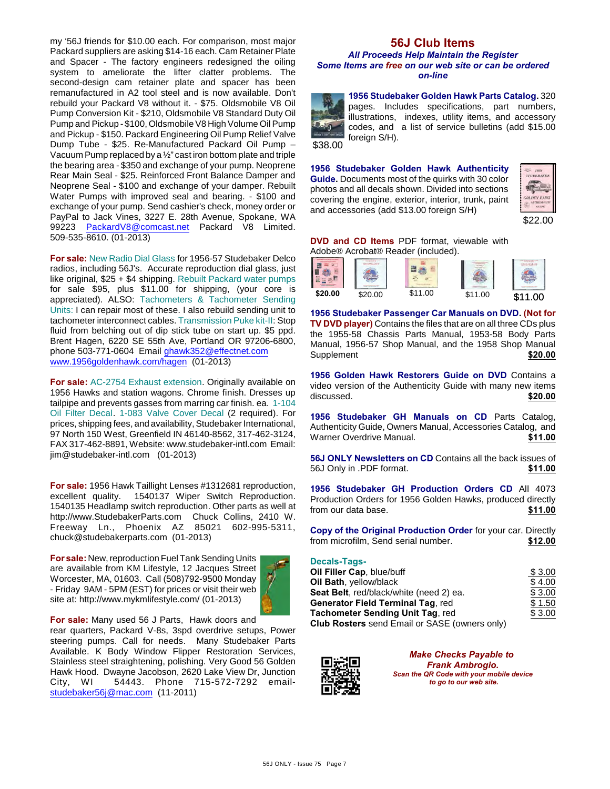my '56J friends for \$10.00 each. For comparison, most major Packard suppliers are asking \$14-16 each. Cam Retainer Plate and Spacer - The factory engineers redesigned the oiling system to ameliorate the lifter clatter problems. The second-design cam retainer plate and spacer has been remanufactured in A2 tool steel and is now available. Don't rebuild your Packard V8 without it. - \$75. Oldsmobile V8 Oil Pump Conversion Kit - \$210, Oldsmobile V8 Standard Duty Oil Pump and Pickup - \$100, Oldsmobile V8 High Volume Oil Pump and Pickup - \$150. Packard Engineering Oil Pump Relief Valve Dump Tube - \$25. Re-Manufactured Packard Oil Pump – Vacuum Pump replaced by a ½" cast iron bottom plate and triple the bearing area - \$350 and exchange of your pump. Neoprene Rear Main Seal - \$25. Reinforced Front Balance Damper and Neoprene Seal - \$100 and exchange of your damper. Rebuilt Water Pumps with improved seal and bearing. - \$100 and exchange of your pump. Send cashier's check, money order or PayPal to Jack Vines, 3227 E. 28th Avenue, Spokane, WA 99223 [PackardV8@comcast.net](mailto:PackardV8@comcast.net) Packard V8 Limited. 509-535-8610. (01-2013)

**For sale:** New Radio Dial Glass for 1956-57 Studebaker Delco radios, including 56J's. Accurate reproduction dial glass, just like original, \$25 + \$4 shipping. Rebuilt Packard water pumps for sale \$95, plus \$11.00 for shipping, (your core is appreciated). ALSO: Tachometers & Tachometer Sending Units: I can repair most of these. I also rebuild sending unit to tachometer interconnect cables. Transmission Puke kit-II: Stop fluid from belching out of dip stick tube on start up. \$5 ppd. Brent Hagen, 6220 SE 55th Ave, Portland OR 97206-6800, phone 503-771-0604 Email [ghawk352@effectnet.com](mailto:ghawk352@effectnet.com) [www.1956goldenhawk.com/hagen](http://www.1956goldenhawk.com/hagen) (01-2013)

**For sale:** AC-2754 Exhaust extension. Originally available on 1956 Hawks and station wagons. Chrome finish. Dresses up tailpipe and prevents gasses from marring car finish. ea. 1-104 Oil Filter Decal. 1-083 Valve Cover Decal (2 required). For prices, shipping fees, and availability, Studebaker International, 97 North 150 West, Greenfield IN 46140-8562, 317-462-3124, FAX 317-462-8891, Website: www.studebaker-intl.com Email: jim@studebaker-intl.com (01-2013)

**For sale:** 1956 Hawk Taillight Lenses #1312681 reproduction, excellent quality. 1540137 Wiper Switch Reproduction. 1540135 Headlamp switch reproduction. Other parts as well at http://www.StudebakerParts.com Chuck Collins, 2410 W. Freeway Ln., Phoenix AZ 85021 602-995-5311, chuck@studebakerparts.com (01-2013)

**For sale:** New, reproduction Fuel Tank Sending Units are available from KM Lifestyle, 12 Jacques Street Worcester, MA, 01603. Call (508)792-9500 Monday - Friday 9AM - 5PM (EST) for prices or visit their web site at: http://www.mykmlifestyle.com/ (01-2013)



**For sale:** Many used 56 J Parts, Hawk doors and

rear quarters, Packard V-8s, 3spd overdrive setups, Power steering pumps. Call for needs. Many Studebaker Parts Available. K Body Window Flipper Restoration Services, Stainless steel straightening, polishing. Very Good 56 Golden Hawk Hood. Dwayne Jacobson, 2620 Lake View Dr, Junction<br>City, WI 54443. Phone 715-572-7292 email-54443. Phone 715-572-7292 email[studebaker56j@mac.com](mailto:studebaker56j@mac.com) (11-2011)

## **56J Club Items**

#### *All Proceeds Help Maintain the Register Some Items are free on our web site or can be ordered on-line*

**1956 Studebaker Golden Hawk Parts Catalog.** 320 pages. Includes specifications, part numbers, illustrations, indexes, utility items, and accessory codes, and a list of service bulletins (add \$15.00

\$38.00

**1956 Studebaker Golden Hawk Authenticity Guide.** Documents most of the quirks with 30 color photos and all decals shown. Divided into sections covering the engine, exterior, interior, trunk, paint and accessories (add \$13.00 foreign S/H)

foreign S/H).



**DVD and CD Items** PDF format, viewable with Adobe® Acrobat® Reader (included).

|         | <b>SETTING CONTRACTOR</b><br>614231.81 S H OF<br><b>Contract Contract Contract Contract</b> |         |       | <b>THE REPORT FOR THE TWO</b><br><b>COLLAGE COMMANDS</b><br><b>Mary Call Corp. Corp.</b> |
|---------|---------------------------------------------------------------------------------------------|---------|-------|------------------------------------------------------------------------------------------|
| \$20.00 | \$20.00                                                                                     | \$11.00 | 11.00 | <b>ዩ</b> 11 በበ<br>æ                                                                      |

**1956 Studebaker Passenger Car Manuals on DVD. (Not for TV DVD player)** Contains the files that are on all three CDs plus the 1955-58 Chassis Parts Manual, 1953-58 Body Parts Manual, 1956-57 Shop Manual, and the 1958 Shop Manual Supplement **\$20.00** 

**1956 Golden Hawk Restorers Guide on DVD** Contains a video version of the Authenticity Guide with many new items discussed. **\$20.00**

**1956 Studebaker GH Manuals on CD** Parts Catalog, Authenticity Guide, Owners Manual, Accessories Catalog, and Warner Overdrive Manual. **\$11.00** 

**56J ONLY Newsletters on CD** Contains all the back issues of 56J Only in .PDF format. 56J Only in .PDF format.

**1956 Studebaker GH Production Orders CD** All 4073 Production Orders for 1956 Golden Hawks, produced directly from our data base. **\$11.00**

**Copy of the Original Production Order** for your car. Directly from microfilm, Send serial number. **\$12.00**

| <b>Decals-Tags-</b>                                                                                                                    |  |  |
|----------------------------------------------------------------------------------------------------------------------------------------|--|--|
| $\bigcap_{i=1}^{n}$ if $\bigcap_{i=1}^{n}$ if $\bigcap_{i=1}^{n}$ if $\bigcap_{i=1}^{n}$ if $\bigcap_{i=1}^{n}$ if $\bigcap_{i=1}^{n}$ |  |  |

| <b>Oil Filler Cap, blue/buff</b>              | \$ 3.00 |
|-----------------------------------------------|---------|
| Oil Bath, yellow/black                        | \$4.00  |
| Seat Belt, red/black/white (need 2) ea.       | \$3.00  |
| Generator Field Terminal Tag, red             | \$1.50  |
| Tachometer Sending Unit Tag, red              | \$3.00  |
| Club Rosters send Email or SASE (owners only) |         |

**Rosters** send Email or SASE (owners only)



*Make Checks Payable to Frank Ambrogio. Scan the QR Code with your mobile device to go to our web site.*